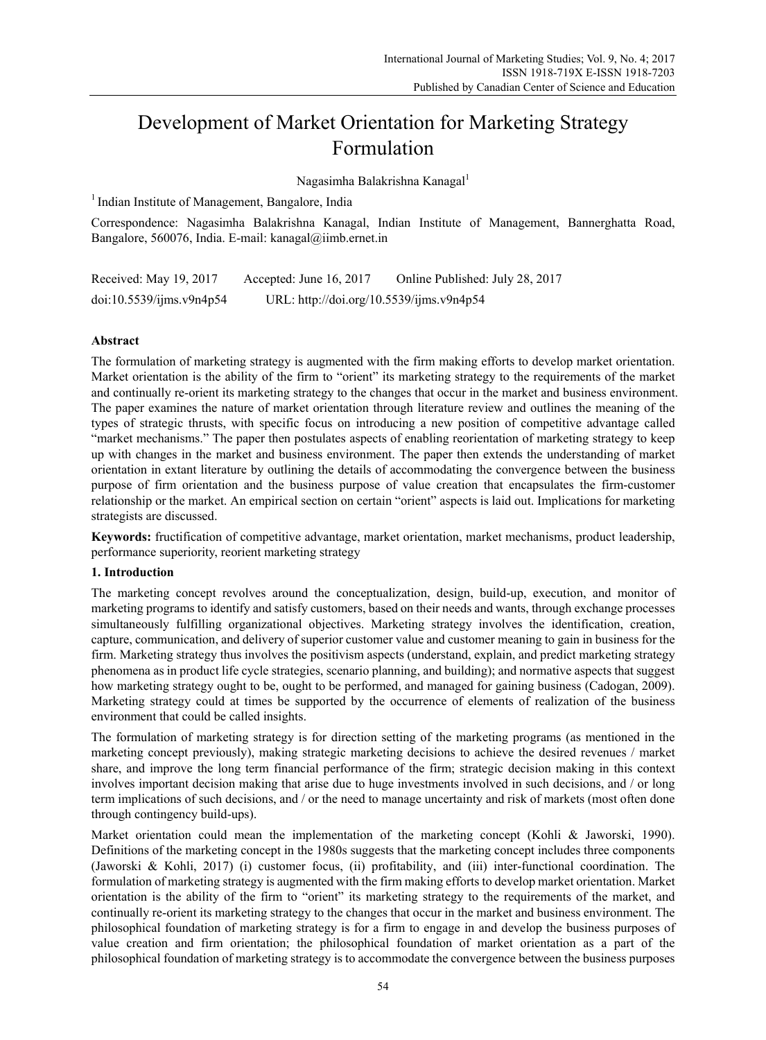# Development of Market Orientation for Marketing Strategy Formulation

Nagasimha Balakrishna Kanagal<sup>1</sup>

<sup>1</sup> Indian Institute of Management, Bangalore, India

Correspondence: Nagasimha Balakrishna Kanagal, Indian Institute of Management, Bannerghatta Road, Bangalore, 560076, India. E-mail: kanagal@iimb.ernet.in

Received: May 19, 2017 Accepted: June 16, 2017 Online Published: July 28, 2017 doi:10.5539/ijms.v9n4p54 URL: http://doi.org/10.5539/ijms.v9n4p54

# **Abstract**

The formulation of marketing strategy is augmented with the firm making efforts to develop market orientation. Market orientation is the ability of the firm to "orient" its marketing strategy to the requirements of the market and continually re-orient its marketing strategy to the changes that occur in the market and business environment. The paper examines the nature of market orientation through literature review and outlines the meaning of the types of strategic thrusts, with specific focus on introducing a new position of competitive advantage called "market mechanisms." The paper then postulates aspects of enabling reorientation of marketing strategy to keep up with changes in the market and business environment. The paper then extends the understanding of market orientation in extant literature by outlining the details of accommodating the convergence between the business purpose of firm orientation and the business purpose of value creation that encapsulates the firm-customer relationship or the market. An empirical section on certain "orient" aspects is laid out. Implications for marketing strategists are discussed.

**Keywords:** fructification of competitive advantage, market orientation, market mechanisms, product leadership, performance superiority, reorient marketing strategy

# **1. Introduction**

The marketing concept revolves around the conceptualization, design, build-up, execution, and monitor of marketing programs to identify and satisfy customers, based on their needs and wants, through exchange processes simultaneously fulfilling organizational objectives. Marketing strategy involves the identification, creation, capture, communication, and delivery of superior customer value and customer meaning to gain in business for the firm. Marketing strategy thus involves the positivism aspects (understand, explain, and predict marketing strategy phenomena as in product life cycle strategies, scenario planning, and building); and normative aspects that suggest how marketing strategy ought to be, ought to be performed, and managed for gaining business (Cadogan, 2009). Marketing strategy could at times be supported by the occurrence of elements of realization of the business environment that could be called insights.

The formulation of marketing strategy is for direction setting of the marketing programs (as mentioned in the marketing concept previously), making strategic marketing decisions to achieve the desired revenues / market share, and improve the long term financial performance of the firm; strategic decision making in this context involves important decision making that arise due to huge investments involved in such decisions, and / or long term implications of such decisions, and / or the need to manage uncertainty and risk of markets (most often done through contingency build-ups).

Market orientation could mean the implementation of the marketing concept (Kohli & Jaworski, 1990). Definitions of the marketing concept in the 1980s suggests that the marketing concept includes three components (Jaworski & Kohli, 2017) (i) customer focus, (ii) profitability, and (iii) inter-functional coordination. The formulation of marketing strategy is augmented with the firm making efforts to develop market orientation. Market orientation is the ability of the firm to "orient" its marketing strategy to the requirements of the market, and continually re-orient its marketing strategy to the changes that occur in the market and business environment. The philosophical foundation of marketing strategy is for a firm to engage in and develop the business purposes of value creation and firm orientation; the philosophical foundation of market orientation as a part of the philosophical foundation of marketing strategy is to accommodate the convergence between the business purposes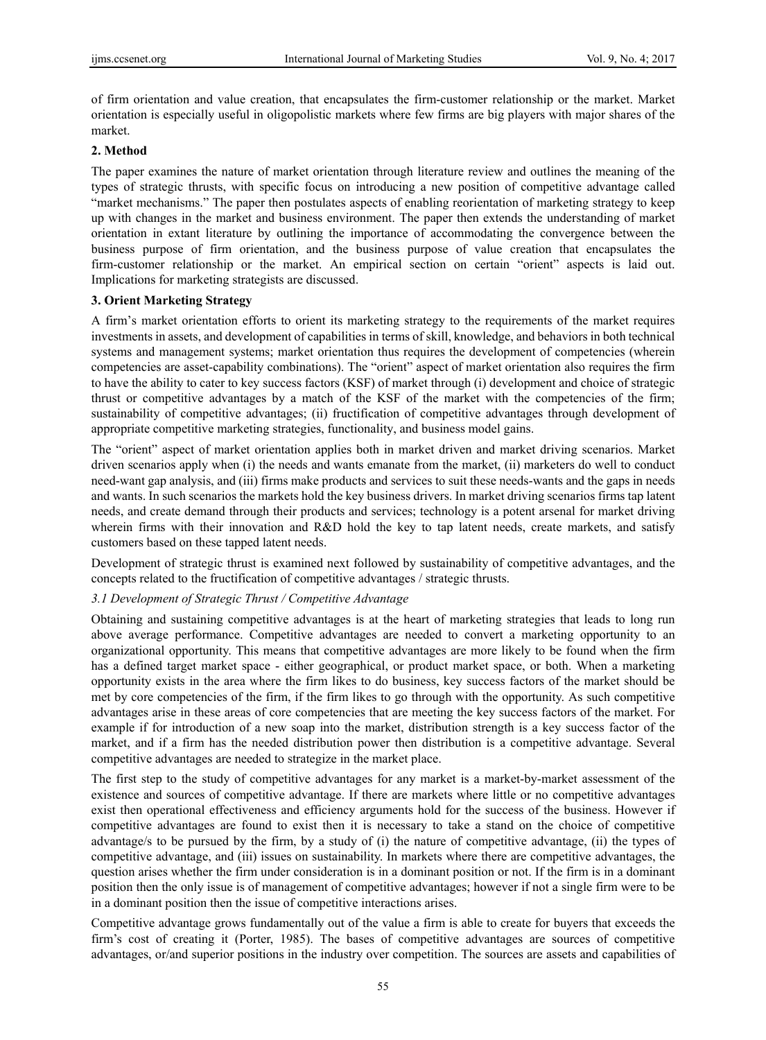of firm orientation and value creation, that encapsulates the firm-customer relationship or the market. Market orientation is especially useful in oligopolistic markets where few firms are big players with major shares of the market.

# **2. Method**

The paper examines the nature of market orientation through literature review and outlines the meaning of the types of strategic thrusts, with specific focus on introducing a new position of competitive advantage called "market mechanisms." The paper then postulates aspects of enabling reorientation of marketing strategy to keep up with changes in the market and business environment. The paper then extends the understanding of market orientation in extant literature by outlining the importance of accommodating the convergence between the business purpose of firm orientation, and the business purpose of value creation that encapsulates the firm-customer relationship or the market. An empirical section on certain "orient" aspects is laid out. Implications for marketing strategists are discussed.

# **3. Orient Marketing Strategy**

A firm's market orientation efforts to orient its marketing strategy to the requirements of the market requires investments in assets, and development of capabilities in terms of skill, knowledge, and behaviors in both technical systems and management systems; market orientation thus requires the development of competencies (wherein competencies are asset-capability combinations). The "orient" aspect of market orientation also requires the firm to have the ability to cater to key success factors (KSF) of market through (i) development and choice of strategic thrust or competitive advantages by a match of the KSF of the market with the competencies of the firm; sustainability of competitive advantages; (ii) fructification of competitive advantages through development of appropriate competitive marketing strategies, functionality, and business model gains.

The "orient" aspect of market orientation applies both in market driven and market driving scenarios. Market driven scenarios apply when (i) the needs and wants emanate from the market, (ii) marketers do well to conduct need-want gap analysis, and (iii) firms make products and services to suit these needs-wants and the gaps in needs and wants. In such scenarios the markets hold the key business drivers. In market driving scenarios firms tap latent needs, and create demand through their products and services; technology is a potent arsenal for market driving wherein firms with their innovation and R&D hold the key to tap latent needs, create markets, and satisfy customers based on these tapped latent needs.

Development of strategic thrust is examined next followed by sustainability of competitive advantages, and the concepts related to the fructification of competitive advantages / strategic thrusts.

# *3.1 Development of Strategic Thrust / Competitive Advantage*

Obtaining and sustaining competitive advantages is at the heart of marketing strategies that leads to long run above average performance. Competitive advantages are needed to convert a marketing opportunity to an organizational opportunity. This means that competitive advantages are more likely to be found when the firm has a defined target market space - either geographical, or product market space, or both. When a marketing opportunity exists in the area where the firm likes to do business, key success factors of the market should be met by core competencies of the firm, if the firm likes to go through with the opportunity. As such competitive advantages arise in these areas of core competencies that are meeting the key success factors of the market. For example if for introduction of a new soap into the market, distribution strength is a key success factor of the market, and if a firm has the needed distribution power then distribution is a competitive advantage. Several competitive advantages are needed to strategize in the market place.

The first step to the study of competitive advantages for any market is a market-by-market assessment of the existence and sources of competitive advantage. If there are markets where little or no competitive advantages exist then operational effectiveness and efficiency arguments hold for the success of the business. However if competitive advantages are found to exist then it is necessary to take a stand on the choice of competitive advantage/s to be pursued by the firm, by a study of (i) the nature of competitive advantage, (ii) the types of competitive advantage, and (iii) issues on sustainability. In markets where there are competitive advantages, the question arises whether the firm under consideration is in a dominant position or not. If the firm is in a dominant position then the only issue is of management of competitive advantages; however if not a single firm were to be in a dominant position then the issue of competitive interactions arises.

Competitive advantage grows fundamentally out of the value a firm is able to create for buyers that exceeds the firm's cost of creating it (Porter, 1985). The bases of competitive advantages are sources of competitive advantages, or/and superior positions in the industry over competition. The sources are assets and capabilities of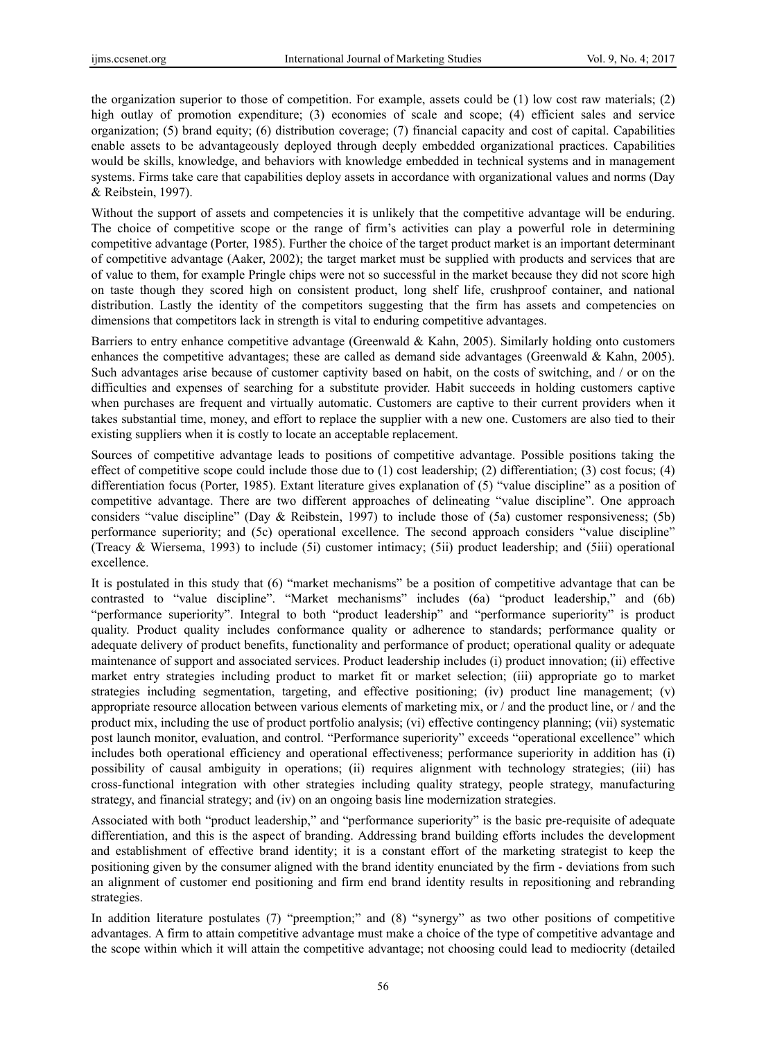the organization superior to those of competition. For example, assets could be (1) low cost raw materials; (2) high outlay of promotion expenditure; (3) economies of scale and scope; (4) efficient sales and service organization; (5) brand equity; (6) distribution coverage; (7) financial capacity and cost of capital. Capabilities enable assets to be advantageously deployed through deeply embedded organizational practices. Capabilities would be skills, knowledge, and behaviors with knowledge embedded in technical systems and in management systems. Firms take care that capabilities deploy assets in accordance with organizational values and norms (Day & Reibstein, 1997).

Without the support of assets and competencies it is unlikely that the competitive advantage will be enduring. The choice of competitive scope or the range of firm's activities can play a powerful role in determining competitive advantage (Porter, 1985). Further the choice of the target product market is an important determinant of competitive advantage (Aaker, 2002); the target market must be supplied with products and services that are of value to them, for example Pringle chips were not so successful in the market because they did not score high on taste though they scored high on consistent product, long shelf life, crushproof container, and national distribution. Lastly the identity of the competitors suggesting that the firm has assets and competencies on dimensions that competitors lack in strength is vital to enduring competitive advantages.

Barriers to entry enhance competitive advantage (Greenwald  $&$  Kahn, 2005). Similarly holding onto customers enhances the competitive advantages; these are called as demand side advantages (Greenwald & Kahn, 2005). Such advantages arise because of customer captivity based on habit, on the costs of switching, and / or on the difficulties and expenses of searching for a substitute provider. Habit succeeds in holding customers captive when purchases are frequent and virtually automatic. Customers are captive to their current providers when it takes substantial time, money, and effort to replace the supplier with a new one. Customers are also tied to their existing suppliers when it is costly to locate an acceptable replacement.

Sources of competitive advantage leads to positions of competitive advantage. Possible positions taking the effect of competitive scope could include those due to (1) cost leadership; (2) differentiation; (3) cost focus; (4) differentiation focus (Porter, 1985). Extant literature gives explanation of (5) "value discipline" as a position of competitive advantage. There are two different approaches of delineating "value discipline". One approach considers "value discipline" (Day & Reibstein, 1997) to include those of (5a) customer responsiveness; (5b) performance superiority; and (5c) operational excellence. The second approach considers "value discipline" (Treacy & Wiersema, 1993) to include (5i) customer intimacy; (5ii) product leadership; and (5iii) operational excellence.

It is postulated in this study that (6) "market mechanisms" be a position of competitive advantage that can be contrasted to "value discipline". "Market mechanisms" includes (6a) "product leadership," and (6b) "performance superiority". Integral to both "product leadership" and "performance superiority" is product quality. Product quality includes conformance quality or adherence to standards; performance quality or adequate delivery of product benefits, functionality and performance of product; operational quality or adequate maintenance of support and associated services. Product leadership includes (i) product innovation; (ii) effective market entry strategies including product to market fit or market selection; (iii) appropriate go to market strategies including segmentation, targeting, and effective positioning; (iv) product line management; (v) appropriate resource allocation between various elements of marketing mix, or / and the product line, or / and the product mix, including the use of product portfolio analysis; (vi) effective contingency planning; (vii) systematic post launch monitor, evaluation, and control. "Performance superiority" exceeds "operational excellence" which includes both operational efficiency and operational effectiveness; performance superiority in addition has (i) possibility of causal ambiguity in operations; (ii) requires alignment with technology strategies; (iii) has cross-functional integration with other strategies including quality strategy, people strategy, manufacturing strategy, and financial strategy; and (iv) on an ongoing basis line modernization strategies.

Associated with both "product leadership," and "performance superiority" is the basic pre-requisite of adequate differentiation, and this is the aspect of branding. Addressing brand building efforts includes the development and establishment of effective brand identity; it is a constant effort of the marketing strategist to keep the positioning given by the consumer aligned with the brand identity enunciated by the firm - deviations from such an alignment of customer end positioning and firm end brand identity results in repositioning and rebranding strategies.

In addition literature postulates (7) "preemption;" and (8) "synergy" as two other positions of competitive advantages. A firm to attain competitive advantage must make a choice of the type of competitive advantage and the scope within which it will attain the competitive advantage; not choosing could lead to mediocrity (detailed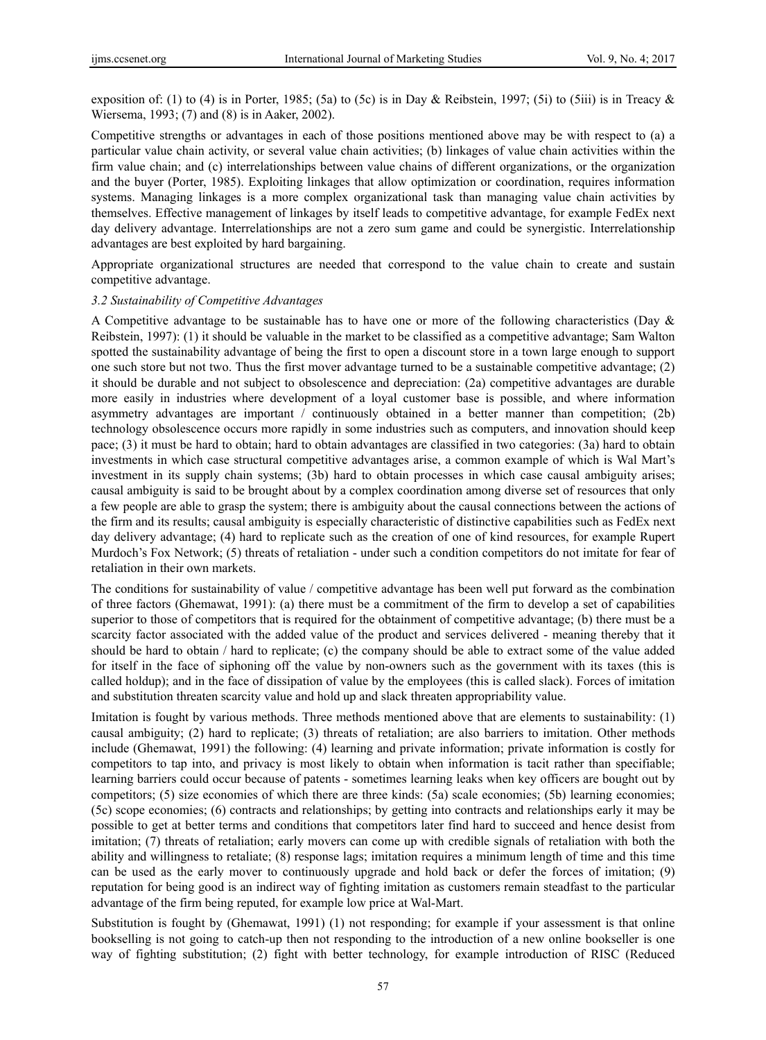exposition of: (1) to (4) is in Porter, 1985; (5a) to (5c) is in Day & Reibstein, 1997; (5i) to (5iii) is in Treacy & Wiersema, 1993; (7) and (8) is in Aaker, 2002).

Competitive strengths or advantages in each of those positions mentioned above may be with respect to (a) a particular value chain activity, or several value chain activities; (b) linkages of value chain activities within the firm value chain; and (c) interrelationships between value chains of different organizations, or the organization and the buyer (Porter, 1985). Exploiting linkages that allow optimization or coordination, requires information systems. Managing linkages is a more complex organizational task than managing value chain activities by themselves. Effective management of linkages by itself leads to competitive advantage, for example FedEx next day delivery advantage. Interrelationships are not a zero sum game and could be synergistic. Interrelationship advantages are best exploited by hard bargaining.

Appropriate organizational structures are needed that correspond to the value chain to create and sustain competitive advantage.

#### *3.2 Sustainability of Competitive Advantages*

A Competitive advantage to be sustainable has to have one or more of the following characteristics (Day & Reibstein, 1997): (1) it should be valuable in the market to be classified as a competitive advantage; Sam Walton spotted the sustainability advantage of being the first to open a discount store in a town large enough to support one such store but not two. Thus the first mover advantage turned to be a sustainable competitive advantage; (2) it should be durable and not subject to obsolescence and depreciation: (2a) competitive advantages are durable more easily in industries where development of a loyal customer base is possible, and where information asymmetry advantages are important / continuously obtained in a better manner than competition; (2b) technology obsolescence occurs more rapidly in some industries such as computers, and innovation should keep pace; (3) it must be hard to obtain; hard to obtain advantages are classified in two categories: (3a) hard to obtain investments in which case structural competitive advantages arise, a common example of which is Wal Mart's investment in its supply chain systems; (3b) hard to obtain processes in which case causal ambiguity arises; causal ambiguity is said to be brought about by a complex coordination among diverse set of resources that only a few people are able to grasp the system; there is ambiguity about the causal connections between the actions of the firm and its results; causal ambiguity is especially characteristic of distinctive capabilities such as FedEx next day delivery advantage; (4) hard to replicate such as the creation of one of kind resources, for example Rupert Murdoch's Fox Network; (5) threats of retaliation - under such a condition competitors do not imitate for fear of retaliation in their own markets.

The conditions for sustainability of value / competitive advantage has been well put forward as the combination of three factors (Ghemawat, 1991): (a) there must be a commitment of the firm to develop a set of capabilities superior to those of competitors that is required for the obtainment of competitive advantage; (b) there must be a scarcity factor associated with the added value of the product and services delivered - meaning thereby that it should be hard to obtain / hard to replicate; (c) the company should be able to extract some of the value added for itself in the face of siphoning off the value by non-owners such as the government with its taxes (this is called holdup); and in the face of dissipation of value by the employees (this is called slack). Forces of imitation and substitution threaten scarcity value and hold up and slack threaten appropriability value.

Imitation is fought by various methods. Three methods mentioned above that are elements to sustainability: (1) causal ambiguity; (2) hard to replicate; (3) threats of retaliation; are also barriers to imitation. Other methods include (Ghemawat, 1991) the following: (4) learning and private information; private information is costly for competitors to tap into, and privacy is most likely to obtain when information is tacit rather than specifiable; learning barriers could occur because of patents - sometimes learning leaks when key officers are bought out by competitors; (5) size economies of which there are three kinds: (5a) scale economies; (5b) learning economies; (5c) scope economies; (6) contracts and relationships; by getting into contracts and relationships early it may be possible to get at better terms and conditions that competitors later find hard to succeed and hence desist from imitation; (7) threats of retaliation; early movers can come up with credible signals of retaliation with both the ability and willingness to retaliate; (8) response lags; imitation requires a minimum length of time and this time can be used as the early mover to continuously upgrade and hold back or defer the forces of imitation; (9) reputation for being good is an indirect way of fighting imitation as customers remain steadfast to the particular advantage of the firm being reputed, for example low price at Wal-Mart.

Substitution is fought by (Ghemawat, 1991) (1) not responding; for example if your assessment is that online bookselling is not going to catch-up then not responding to the introduction of a new online bookseller is one way of fighting substitution; (2) fight with better technology, for example introduction of RISC (Reduced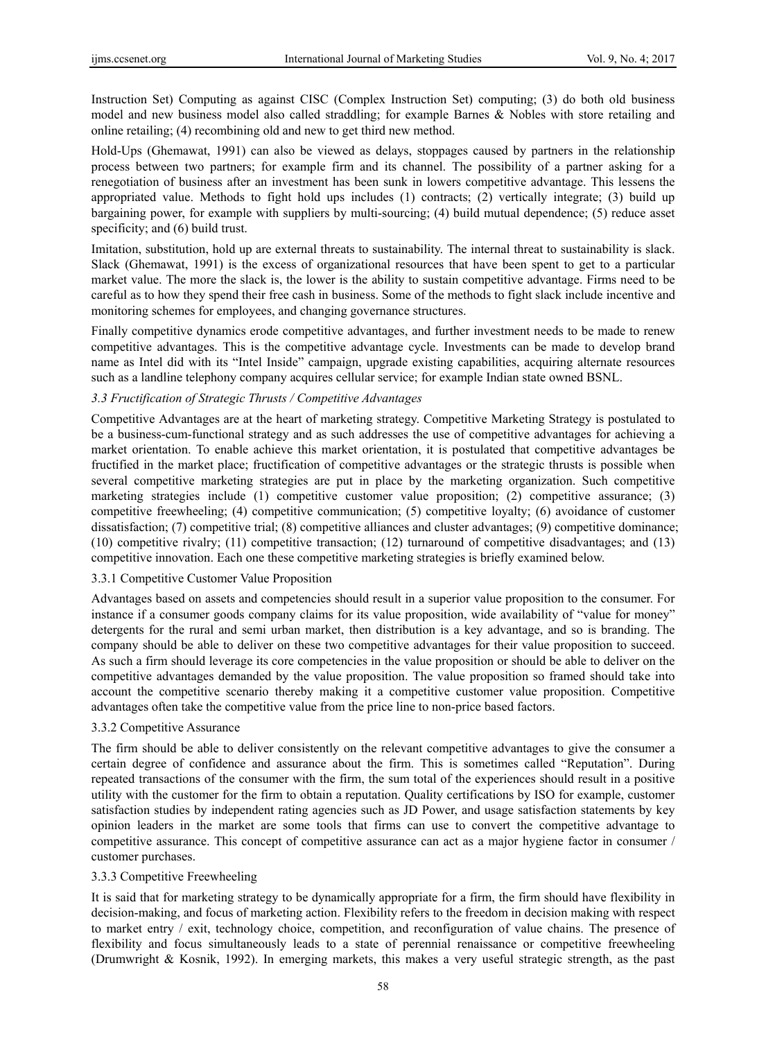Instruction Set) Computing as against CISC (Complex Instruction Set) computing; (3) do both old business model and new business model also called straddling; for example Barnes & Nobles with store retailing and online retailing; (4) recombining old and new to get third new method.

Hold-Ups (Ghemawat, 1991) can also be viewed as delays, stoppages caused by partners in the relationship process between two partners; for example firm and its channel. The possibility of a partner asking for a renegotiation of business after an investment has been sunk in lowers competitive advantage. This lessens the appropriated value. Methods to fight hold ups includes (1) contracts; (2) vertically integrate; (3) build up bargaining power, for example with suppliers by multi-sourcing; (4) build mutual dependence; (5) reduce asset specificity; and (6) build trust.

Imitation, substitution, hold up are external threats to sustainability. The internal threat to sustainability is slack. Slack (Ghemawat, 1991) is the excess of organizational resources that have been spent to get to a particular market value. The more the slack is, the lower is the ability to sustain competitive advantage. Firms need to be careful as to how they spend their free cash in business. Some of the methods to fight slack include incentive and monitoring schemes for employees, and changing governance structures.

Finally competitive dynamics erode competitive advantages, and further investment needs to be made to renew competitive advantages. This is the competitive advantage cycle. Investments can be made to develop brand name as Intel did with its "Intel Inside" campaign, upgrade existing capabilities, acquiring alternate resources such as a landline telephony company acquires cellular service; for example Indian state owned BSNL.

# *3.3 Fructification of Strategic Thrusts / Competitive Advantages*

Competitive Advantages are at the heart of marketing strategy. Competitive Marketing Strategy is postulated to be a business-cum-functional strategy and as such addresses the use of competitive advantages for achieving a market orientation. To enable achieve this market orientation, it is postulated that competitive advantages be fructified in the market place; fructification of competitive advantages or the strategic thrusts is possible when several competitive marketing strategies are put in place by the marketing organization. Such competitive marketing strategies include (1) competitive customer value proposition; (2) competitive assurance; (3) competitive freewheeling; (4) competitive communication; (5) competitive loyalty; (6) avoidance of customer dissatisfaction; (7) competitive trial; (8) competitive alliances and cluster advantages; (9) competitive dominance; (10) competitive rivalry; (11) competitive transaction; (12) turnaround of competitive disadvantages; and (13) competitive innovation. Each one these competitive marketing strategies is briefly examined below.

# 3.3.1 Competitive Customer Value Proposition

Advantages based on assets and competencies should result in a superior value proposition to the consumer. For instance if a consumer goods company claims for its value proposition, wide availability of "value for money" detergents for the rural and semi urban market, then distribution is a key advantage, and so is branding. The company should be able to deliver on these two competitive advantages for their value proposition to succeed. As such a firm should leverage its core competencies in the value proposition or should be able to deliver on the competitive advantages demanded by the value proposition. The value proposition so framed should take into account the competitive scenario thereby making it a competitive customer value proposition. Competitive advantages often take the competitive value from the price line to non-price based factors.

# 3.3.2 Competitive Assurance

The firm should be able to deliver consistently on the relevant competitive advantages to give the consumer a certain degree of confidence and assurance about the firm. This is sometimes called "Reputation". During repeated transactions of the consumer with the firm, the sum total of the experiences should result in a positive utility with the customer for the firm to obtain a reputation. Quality certifications by ISO for example, customer satisfaction studies by independent rating agencies such as JD Power, and usage satisfaction statements by key opinion leaders in the market are some tools that firms can use to convert the competitive advantage to competitive assurance. This concept of competitive assurance can act as a major hygiene factor in consumer / customer purchases.

# 3.3.3 Competitive Freewheeling

It is said that for marketing strategy to be dynamically appropriate for a firm, the firm should have flexibility in decision-making, and focus of marketing action. Flexibility refers to the freedom in decision making with respect to market entry / exit, technology choice, competition, and reconfiguration of value chains. The presence of flexibility and focus simultaneously leads to a state of perennial renaissance or competitive freewheeling (Drumwright & Kosnik, 1992). In emerging markets, this makes a very useful strategic strength, as the past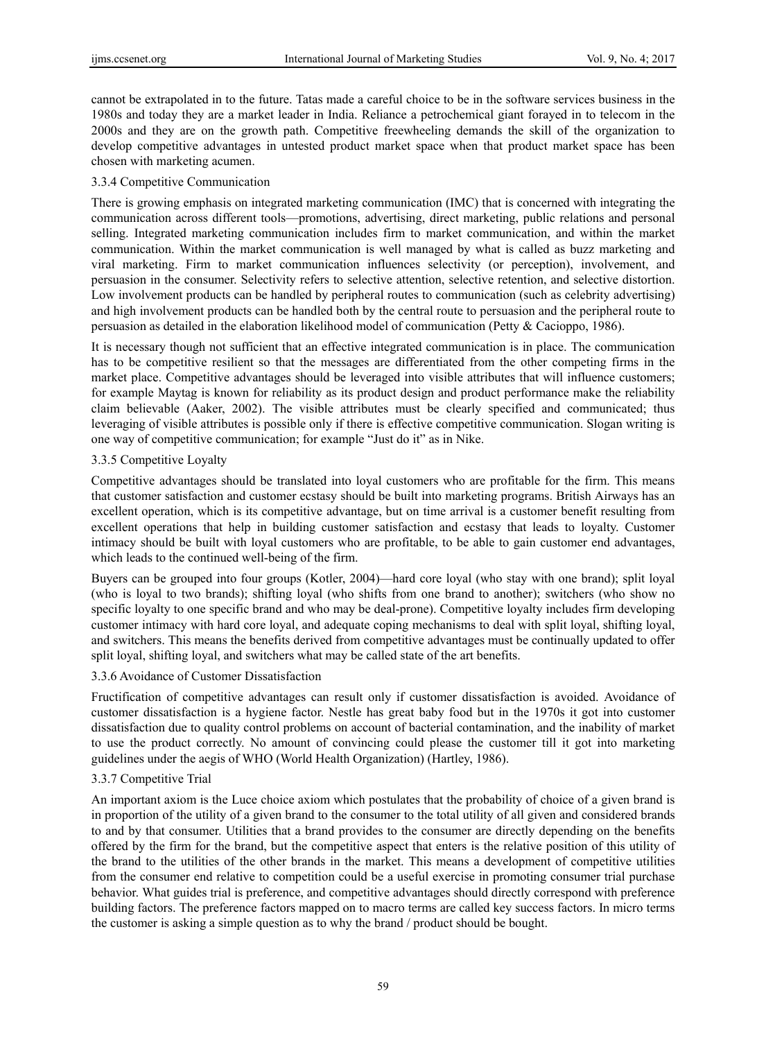cannot be extrapolated in to the future. Tatas made a careful choice to be in the software services business in the 1980s and today they are a market leader in India. Reliance a petrochemical giant forayed in to telecom in the 2000s and they are on the growth path. Competitive freewheeling demands the skill of the organization to develop competitive advantages in untested product market space when that product market space has been chosen with marketing acumen.

# 3.3.4 Competitive Communication

There is growing emphasis on integrated marketing communication (IMC) that is concerned with integrating the communication across different tools—promotions, advertising, direct marketing, public relations and personal selling. Integrated marketing communication includes firm to market communication, and within the market communication. Within the market communication is well managed by what is called as buzz marketing and viral marketing. Firm to market communication influences selectivity (or perception), involvement, and persuasion in the consumer. Selectivity refers to selective attention, selective retention, and selective distortion. Low involvement products can be handled by peripheral routes to communication (such as celebrity advertising) and high involvement products can be handled both by the central route to persuasion and the peripheral route to persuasion as detailed in the elaboration likelihood model of communication (Petty & Cacioppo, 1986).

It is necessary though not sufficient that an effective integrated communication is in place. The communication has to be competitive resilient so that the messages are differentiated from the other competing firms in the market place. Competitive advantages should be leveraged into visible attributes that will influence customers; for example Maytag is known for reliability as its product design and product performance make the reliability claim believable (Aaker, 2002). The visible attributes must be clearly specified and communicated; thus leveraging of visible attributes is possible only if there is effective competitive communication. Slogan writing is one way of competitive communication; for example "Just do it" as in Nike.

# 3.3.5 Competitive Loyalty

Competitive advantages should be translated into loyal customers who are profitable for the firm. This means that customer satisfaction and customer ecstasy should be built into marketing programs. British Airways has an excellent operation, which is its competitive advantage, but on time arrival is a customer benefit resulting from excellent operations that help in building customer satisfaction and ecstasy that leads to loyalty. Customer intimacy should be built with loyal customers who are profitable, to be able to gain customer end advantages, which leads to the continued well-being of the firm.

Buyers can be grouped into four groups (Kotler, 2004)—hard core loyal (who stay with one brand); split loyal (who is loyal to two brands); shifting loyal (who shifts from one brand to another); switchers (who show no specific loyalty to one specific brand and who may be deal-prone). Competitive loyalty includes firm developing customer intimacy with hard core loyal, and adequate coping mechanisms to deal with split loyal, shifting loyal, and switchers. This means the benefits derived from competitive advantages must be continually updated to offer split loyal, shifting loyal, and switchers what may be called state of the art benefits.

# 3.3.6 Avoidance of Customer Dissatisfaction

Fructification of competitive advantages can result only if customer dissatisfaction is avoided. Avoidance of customer dissatisfaction is a hygiene factor. Nestle has great baby food but in the 1970s it got into customer dissatisfaction due to quality control problems on account of bacterial contamination, and the inability of market to use the product correctly. No amount of convincing could please the customer till it got into marketing guidelines under the aegis of WHO (World Health Organization) (Hartley, 1986).

# 3.3.7 Competitive Trial

An important axiom is the Luce choice axiom which postulates that the probability of choice of a given brand is in proportion of the utility of a given brand to the consumer to the total utility of all given and considered brands to and by that consumer. Utilities that a brand provides to the consumer are directly depending on the benefits offered by the firm for the brand, but the competitive aspect that enters is the relative position of this utility of the brand to the utilities of the other brands in the market. This means a development of competitive utilities from the consumer end relative to competition could be a useful exercise in promoting consumer trial purchase behavior. What guides trial is preference, and competitive advantages should directly correspond with preference building factors. The preference factors mapped on to macro terms are called key success factors. In micro terms the customer is asking a simple question as to why the brand / product should be bought.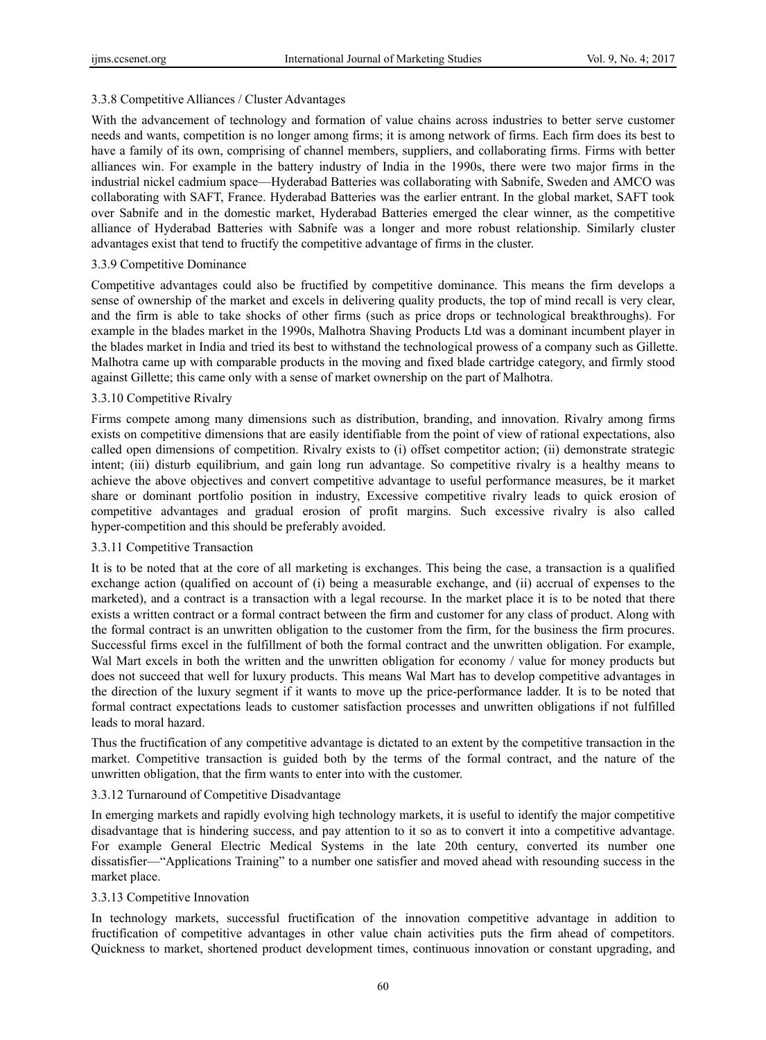# 3.3.8 Competitive Alliances / Cluster Advantages

With the advancement of technology and formation of value chains across industries to better serve customer needs and wants, competition is no longer among firms; it is among network of firms. Each firm does its best to have a family of its own, comprising of channel members, suppliers, and collaborating firms. Firms with better alliances win. For example in the battery industry of India in the 1990s, there were two major firms in the industrial nickel cadmium space—Hyderabad Batteries was collaborating with Sabnife, Sweden and AMCO was collaborating with SAFT, France. Hyderabad Batteries was the earlier entrant. In the global market, SAFT took over Sabnife and in the domestic market, Hyderabad Batteries emerged the clear winner, as the competitive alliance of Hyderabad Batteries with Sabnife was a longer and more robust relationship. Similarly cluster advantages exist that tend to fructify the competitive advantage of firms in the cluster.

# 3.3.9 Competitive Dominance

Competitive advantages could also be fructified by competitive dominance. This means the firm develops a sense of ownership of the market and excels in delivering quality products, the top of mind recall is very clear, and the firm is able to take shocks of other firms (such as price drops or technological breakthroughs). For example in the blades market in the 1990s, Malhotra Shaving Products Ltd was a dominant incumbent player in the blades market in India and tried its best to withstand the technological prowess of a company such as Gillette. Malhotra came up with comparable products in the moving and fixed blade cartridge category, and firmly stood against Gillette; this came only with a sense of market ownership on the part of Malhotra.

# 3.3.10 Competitive Rivalry

Firms compete among many dimensions such as distribution, branding, and innovation. Rivalry among firms exists on competitive dimensions that are easily identifiable from the point of view of rational expectations, also called open dimensions of competition. Rivalry exists to (i) offset competitor action; (ii) demonstrate strategic intent; (iii) disturb equilibrium, and gain long run advantage. So competitive rivalry is a healthy means to achieve the above objectives and convert competitive advantage to useful performance measures, be it market share or dominant portfolio position in industry, Excessive competitive rivalry leads to quick erosion of competitive advantages and gradual erosion of profit margins. Such excessive rivalry is also called hyper-competition and this should be preferably avoided.

# 3.3.11 Competitive Transaction

It is to be noted that at the core of all marketing is exchanges. This being the case, a transaction is a qualified exchange action (qualified on account of (i) being a measurable exchange, and (ii) accrual of expenses to the marketed), and a contract is a transaction with a legal recourse. In the market place it is to be noted that there exists a written contract or a formal contract between the firm and customer for any class of product. Along with the formal contract is an unwritten obligation to the customer from the firm, for the business the firm procures. Successful firms excel in the fulfillment of both the formal contract and the unwritten obligation. For example, Wal Mart excels in both the written and the unwritten obligation for economy / value for money products but does not succeed that well for luxury products. This means Wal Mart has to develop competitive advantages in the direction of the luxury segment if it wants to move up the price-performance ladder. It is to be noted that formal contract expectations leads to customer satisfaction processes and unwritten obligations if not fulfilled leads to moral hazard.

Thus the fructification of any competitive advantage is dictated to an extent by the competitive transaction in the market. Competitive transaction is guided both by the terms of the formal contract, and the nature of the unwritten obligation, that the firm wants to enter into with the customer.

# 3.3.12 Turnaround of Competitive Disadvantage

In emerging markets and rapidly evolving high technology markets, it is useful to identify the major competitive disadvantage that is hindering success, and pay attention to it so as to convert it into a competitive advantage. For example General Electric Medical Systems in the late 20th century, converted its number one dissatisfier—"Applications Training" to a number one satisfier and moved ahead with resounding success in the market place.

# 3.3.13 Competitive Innovation

In technology markets, successful fructification of the innovation competitive advantage in addition to fructification of competitive advantages in other value chain activities puts the firm ahead of competitors. Quickness to market, shortened product development times, continuous innovation or constant upgrading, and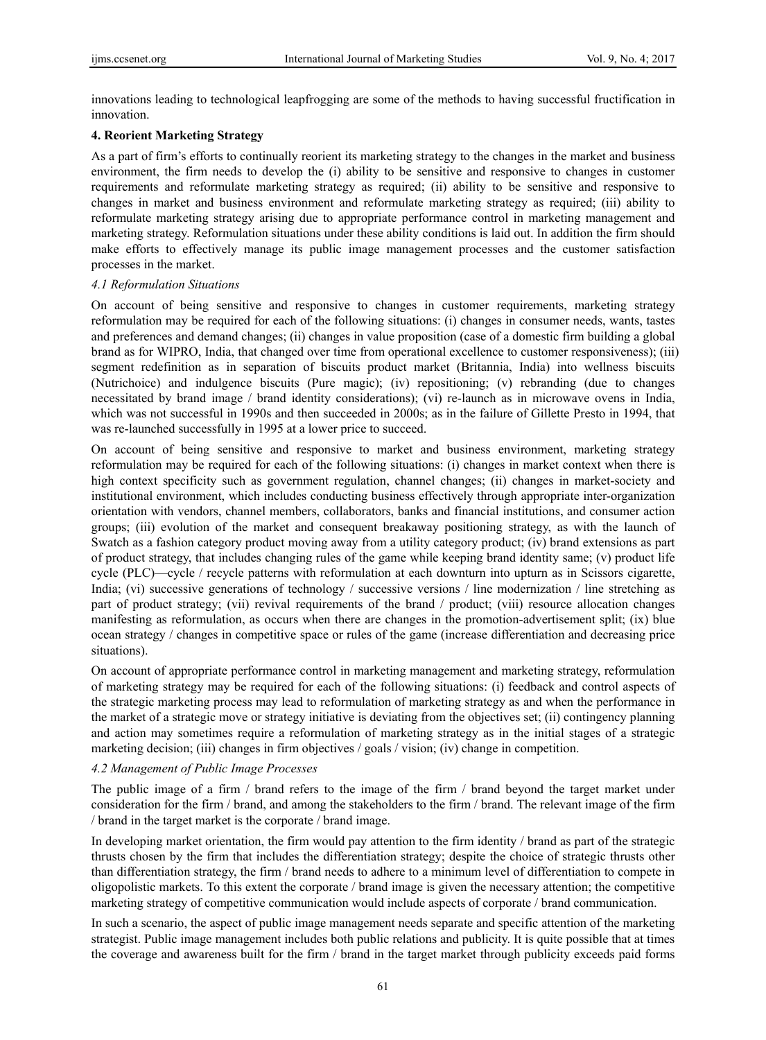innovations leading to technological leapfrogging are some of the methods to having successful fructification in innovation.

# **4. Reorient Marketing Strategy**

As a part of firm's efforts to continually reorient its marketing strategy to the changes in the market and business environment, the firm needs to develop the (i) ability to be sensitive and responsive to changes in customer requirements and reformulate marketing strategy as required; (ii) ability to be sensitive and responsive to changes in market and business environment and reformulate marketing strategy as required; (iii) ability to reformulate marketing strategy arising due to appropriate performance control in marketing management and marketing strategy. Reformulation situations under these ability conditions is laid out. In addition the firm should make efforts to effectively manage its public image management processes and the customer satisfaction processes in the market.

# *4.1 Reformulation Situations*

On account of being sensitive and responsive to changes in customer requirements, marketing strategy reformulation may be required for each of the following situations: (i) changes in consumer needs, wants, tastes and preferences and demand changes; (ii) changes in value proposition (case of a domestic firm building a global brand as for WIPRO, India, that changed over time from operational excellence to customer responsiveness); (iii) segment redefinition as in separation of biscuits product market (Britannia, India) into wellness biscuits (Nutrichoice) and indulgence biscuits (Pure magic); (iv) repositioning; (v) rebranding (due to changes necessitated by brand image / brand identity considerations); (vi) re-launch as in microwave ovens in India, which was not successful in 1990s and then succeeded in 2000s; as in the failure of Gillette Presto in 1994, that was re-launched successfully in 1995 at a lower price to succeed.

On account of being sensitive and responsive to market and business environment, marketing strategy reformulation may be required for each of the following situations: (i) changes in market context when there is high context specificity such as government regulation, channel changes; (ii) changes in market-society and institutional environment, which includes conducting business effectively through appropriate inter-organization orientation with vendors, channel members, collaborators, banks and financial institutions, and consumer action groups; (iii) evolution of the market and consequent breakaway positioning strategy, as with the launch of Swatch as a fashion category product moving away from a utility category product; (iv) brand extensions as part of product strategy, that includes changing rules of the game while keeping brand identity same; (v) product life cycle (PLC)—cycle / recycle patterns with reformulation at each downturn into upturn as in Scissors cigarette, India; (vi) successive generations of technology / successive versions / line modernization / line stretching as part of product strategy; (vii) revival requirements of the brand / product; (viii) resource allocation changes manifesting as reformulation, as occurs when there are changes in the promotion-advertisement split; (ix) blue ocean strategy / changes in competitive space or rules of the game (increase differentiation and decreasing price situations).

On account of appropriate performance control in marketing management and marketing strategy, reformulation of marketing strategy may be required for each of the following situations: (i) feedback and control aspects of the strategic marketing process may lead to reformulation of marketing strategy as and when the performance in the market of a strategic move or strategy initiative is deviating from the objectives set; (ii) contingency planning and action may sometimes require a reformulation of marketing strategy as in the initial stages of a strategic marketing decision; (iii) changes in firm objectives / goals / vision; (iv) change in competition.

# *4.2 Management of Public Image Processes*

The public image of a firm / brand refers to the image of the firm / brand beyond the target market under consideration for the firm / brand, and among the stakeholders to the firm / brand. The relevant image of the firm / brand in the target market is the corporate / brand image.

In developing market orientation, the firm would pay attention to the firm identity / brand as part of the strategic thrusts chosen by the firm that includes the differentiation strategy; despite the choice of strategic thrusts other than differentiation strategy, the firm / brand needs to adhere to a minimum level of differentiation to compete in oligopolistic markets. To this extent the corporate / brand image is given the necessary attention; the competitive marketing strategy of competitive communication would include aspects of corporate / brand communication.

In such a scenario, the aspect of public image management needs separate and specific attention of the marketing strategist. Public image management includes both public relations and publicity. It is quite possible that at times the coverage and awareness built for the firm / brand in the target market through publicity exceeds paid forms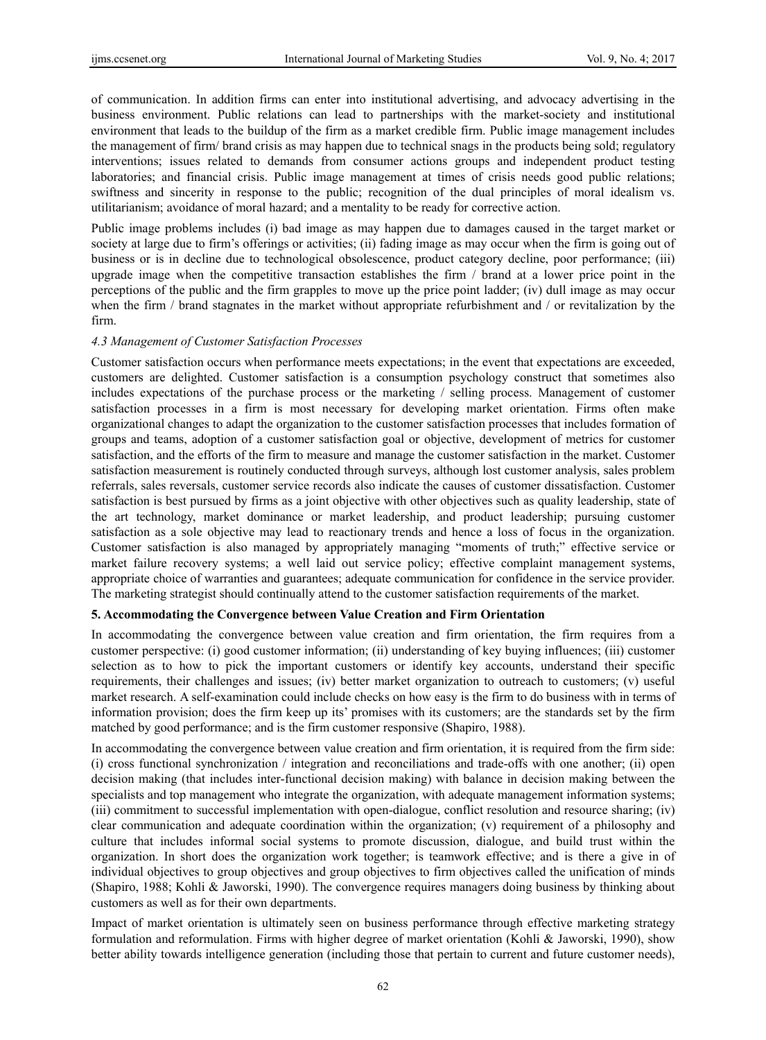of communication. In addition firms can enter into institutional advertising, and advocacy advertising in the business environment. Public relations can lead to partnerships with the market-society and institutional environment that leads to the buildup of the firm as a market credible firm. Public image management includes the management of firm/ brand crisis as may happen due to technical snags in the products being sold; regulatory interventions; issues related to demands from consumer actions groups and independent product testing laboratories; and financial crisis. Public image management at times of crisis needs good public relations; swiftness and sincerity in response to the public; recognition of the dual principles of moral idealism vs. utilitarianism; avoidance of moral hazard; and a mentality to be ready for corrective action.

Public image problems includes (i) bad image as may happen due to damages caused in the target market or society at large due to firm's offerings or activities; (ii) fading image as may occur when the firm is going out of business or is in decline due to technological obsolescence, product category decline, poor performance; (iii) upgrade image when the competitive transaction establishes the firm / brand at a lower price point in the perceptions of the public and the firm grapples to move up the price point ladder; (iv) dull image as may occur when the firm / brand stagnates in the market without appropriate refurbishment and / or revitalization by the firm.

# *4.3 Management of Customer Satisfaction Processes*

Customer satisfaction occurs when performance meets expectations; in the event that expectations are exceeded, customers are delighted. Customer satisfaction is a consumption psychology construct that sometimes also includes expectations of the purchase process or the marketing / selling process. Management of customer satisfaction processes in a firm is most necessary for developing market orientation. Firms often make organizational changes to adapt the organization to the customer satisfaction processes that includes formation of groups and teams, adoption of a customer satisfaction goal or objective, development of metrics for customer satisfaction, and the efforts of the firm to measure and manage the customer satisfaction in the market. Customer satisfaction measurement is routinely conducted through surveys, although lost customer analysis, sales problem referrals, sales reversals, customer service records also indicate the causes of customer dissatisfaction. Customer satisfaction is best pursued by firms as a joint objective with other objectives such as quality leadership, state of the art technology, market dominance or market leadership, and product leadership; pursuing customer satisfaction as a sole objective may lead to reactionary trends and hence a loss of focus in the organization. Customer satisfaction is also managed by appropriately managing "moments of truth;" effective service or market failure recovery systems; a well laid out service policy; effective complaint management systems, appropriate choice of warranties and guarantees; adequate communication for confidence in the service provider. The marketing strategist should continually attend to the customer satisfaction requirements of the market.

# **5. Accommodating the Convergence between Value Creation and Firm Orientation**

In accommodating the convergence between value creation and firm orientation, the firm requires from a customer perspective: (i) good customer information; (ii) understanding of key buying influences; (iii) customer selection as to how to pick the important customers or identify key accounts, understand their specific requirements, their challenges and issues; (iv) better market organization to outreach to customers; (v) useful market research. A self-examination could include checks on how easy is the firm to do business with in terms of information provision; does the firm keep up its' promises with its customers; are the standards set by the firm matched by good performance; and is the firm customer responsive (Shapiro, 1988).

In accommodating the convergence between value creation and firm orientation, it is required from the firm side: (i) cross functional synchronization / integration and reconciliations and trade-offs with one another; (ii) open decision making (that includes inter-functional decision making) with balance in decision making between the specialists and top management who integrate the organization, with adequate management information systems; (iii) commitment to successful implementation with open-dialogue, conflict resolution and resource sharing; (iv) clear communication and adequate coordination within the organization; (v) requirement of a philosophy and culture that includes informal social systems to promote discussion, dialogue, and build trust within the organization. In short does the organization work together; is teamwork effective; and is there a give in of individual objectives to group objectives and group objectives to firm objectives called the unification of minds (Shapiro, 1988; Kohli & Jaworski, 1990). The convergence requires managers doing business by thinking about customers as well as for their own departments.

Impact of market orientation is ultimately seen on business performance through effective marketing strategy formulation and reformulation. Firms with higher degree of market orientation (Kohli & Jaworski, 1990), show better ability towards intelligence generation (including those that pertain to current and future customer needs),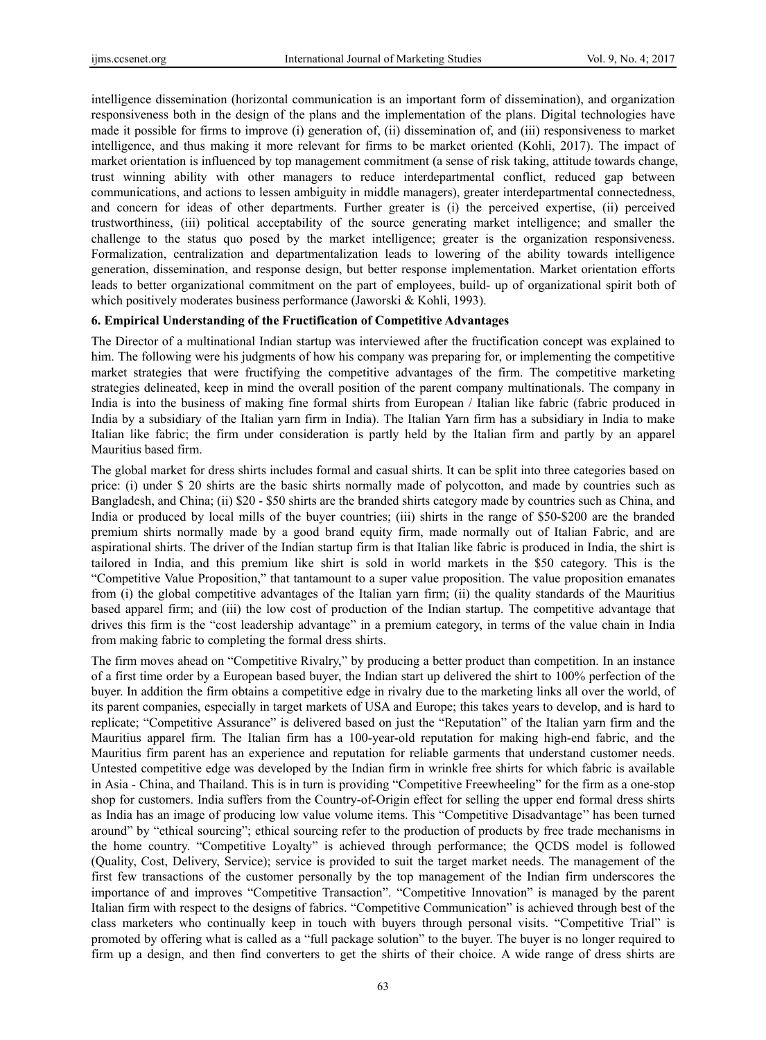intelligence dissemination (horizontal communication is an important form of dissemination), and organization responsiveness both in the design of the plans and the implementation of the plans. Digital technologies have made it possible for firms to improve (i) generation of, (ii) dissemination of, and (iii) responsiveness to market intelligence, and thus making it more relevant for firms to be market oriented (Kohli, 2017). The impact of market orientation is influenced by top management commitment (a sense of risk taking, attitude towards change, trust winning ability with other managers to reduce interdepartmental conflict, reduced gap between communications, and actions to lessen ambiguity in middle managers), greater interdepartmental connectedness, and concern for ideas of other departments. Further greater is (i) the perceived expertise, (ii) perceived trustworthiness, (iii) political acceptability of the source generating market intelligence; and smaller the challenge to the status quo posed by the market intelligence; greater is the organization responsiveness. Formalization, centralization and departmentalization leads to lowering of the ability towards intelligence generation, dissemination, and response design, but better response implementation. Market orientation efforts leads to better organizational commitment on the part of employees, build- up of organizational spirit both of which positively moderates business performance (Jaworski & Kohli, 1993).

# **6. Empirical Understanding of the Fructification of Competitive Advantages**

The Director of a multinational Indian startup was interviewed after the fructification concept was explained to him. The following were his judgments of how his company was preparing for, or implementing the competitive market strategies that were fructifying the competitive advantages of the firm. The competitive marketing strategies delineated, keep in mind the overall position of the parent company multinationals. The company in India is into the business of making fine formal shirts from European / Italian like fabric (fabric produced in India by a subsidiary of the Italian yarn firm in India). The Italian Yarn firm has a subsidiary in India to make Italian like fabric; the firm under consideration is partly held by the Italian firm and partly by an apparel Mauritius based firm.

The global market for dress shirts includes formal and casual shirts. It can be split into three categories based on price: (i) under \$ 20 shirts are the basic shirts normally made of polycotton, and made by countries such as Bangladesh, and China; (ii) \$20 - \$50 shirts are the branded shirts category made by countries such as China, and India or produced by local mills of the buyer countries; (iii) shirts in the range of \$50-\$200 are the branded premium shirts normally made by a good brand equity firm, made normally out of Italian Fabric, and are aspirational shirts. The driver of the Indian startup firm is that Italian like fabric is produced in India, the shirt is tailored in India, and this premium like shirt is sold in world markets in the \$50 category. This is the "Competitive Value Proposition," that tantamount to a super value proposition. The value proposition emanates from (i) the global competitive advantages of the Italian yarn firm; (ii) the quality standards of the Mauritius based apparel firm; and (iii) the low cost of production of the Indian startup. The competitive advantage that drives this firm is the "cost leadership advantage" in a premium category, in terms of the value chain in India from making fabric to completing the formal dress shirts.

The firm moves ahead on "Competitive Rivalry," by producing a better product than competition. In an instance of a first time order by a European based buyer, the Indian start up delivered the shirt to 100% perfection of the buyer. In addition the firm obtains a competitive edge in rivalry due to the marketing links all over the world, of its parent companies, especially in target markets of USA and Europe; this takes years to develop, and is hard to replicate; "Competitive Assurance" is delivered based on just the "Reputation" of the Italian yarn firm and the Mauritius apparel firm. The Italian firm has a 100-year-old reputation for making high-end fabric, and the Mauritius firm parent has an experience and reputation for reliable garments that understand customer needs. Untested competitive edge was developed by the Indian firm in wrinkle free shirts for which fabric is available in Asia - China, and Thailand. This is in turn is providing "Competitive Freewheeling" for the firm as a one-stop shop for customers. India suffers from the Country-of-Origin effect for selling the upper end formal dress shirts as India has an image of producing low value volume items. This "Competitive Disadvantage'' has been turned around" by "ethical sourcing"; ethical sourcing refer to the production of products by free trade mechanisms in the home country. "Competitive Loyalty" is achieved through performance; the QCDS model is followed (Quality, Cost, Delivery, Service); service is provided to suit the target market needs. The management of the first few transactions of the customer personally by the top management of the Indian firm underscores the importance of and improves "Competitive Transaction". "Competitive Innovation" is managed by the parent Italian firm with respect to the designs of fabrics. "Competitive Communication" is achieved through best of the class marketers who continually keep in touch with buyers through personal visits. "Competitive Trial" is promoted by offering what is called as a "full package solution" to the buyer. The buyer is no longer required to firm up a design, and then find converters to get the shirts of their choice. A wide range of dress shirts are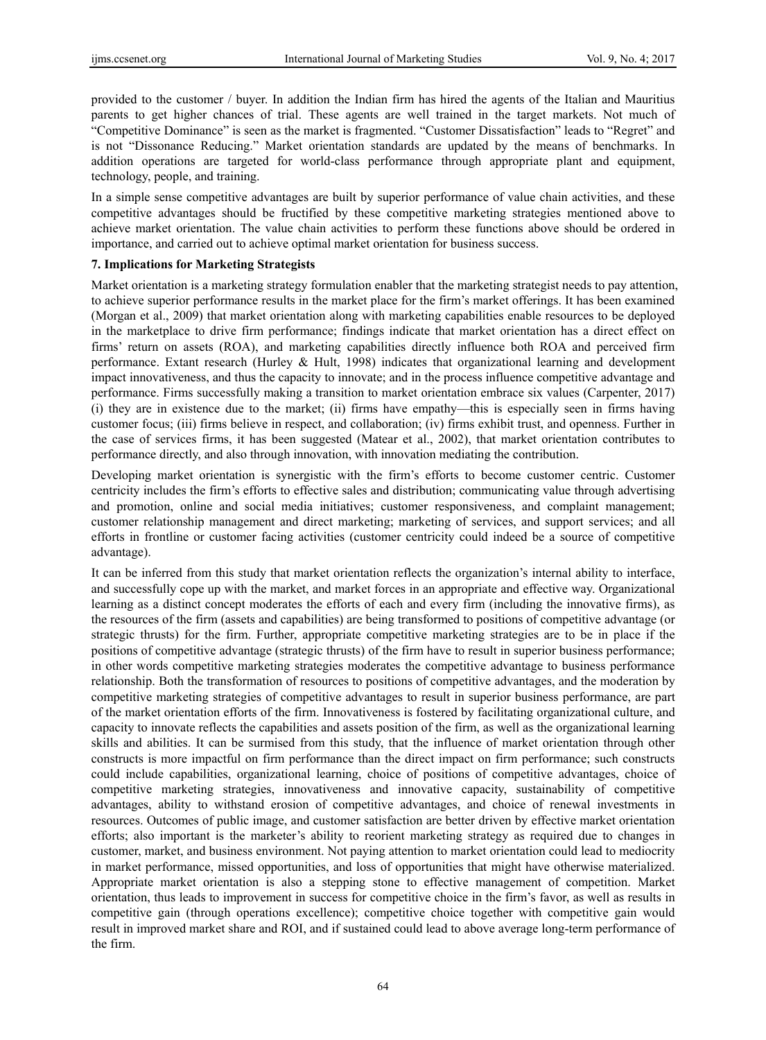provided to the customer / buyer. In addition the Indian firm has hired the agents of the Italian and Mauritius parents to get higher chances of trial. These agents are well trained in the target markets. Not much of "Competitive Dominance" is seen as the market is fragmented. "Customer Dissatisfaction" leads to "Regret" and is not "Dissonance Reducing." Market orientation standards are updated by the means of benchmarks. In addition operations are targeted for world-class performance through appropriate plant and equipment, technology, people, and training.

In a simple sense competitive advantages are built by superior performance of value chain activities, and these competitive advantages should be fructified by these competitive marketing strategies mentioned above to achieve market orientation. The value chain activities to perform these functions above should be ordered in importance, and carried out to achieve optimal market orientation for business success.

# **7. Implications for Marketing Strategists**

Market orientation is a marketing strategy formulation enabler that the marketing strategist needs to pay attention, to achieve superior performance results in the market place for the firm's market offerings. It has been examined (Morgan et al., 2009) that market orientation along with marketing capabilities enable resources to be deployed in the marketplace to drive firm performance; findings indicate that market orientation has a direct effect on firms' return on assets (ROA), and marketing capabilities directly influence both ROA and perceived firm performance. Extant research (Hurley & Hult, 1998) indicates that organizational learning and development impact innovativeness, and thus the capacity to innovate; and in the process influence competitive advantage and performance. Firms successfully making a transition to market orientation embrace six values (Carpenter, 2017) (i) they are in existence due to the market; (ii) firms have empathy—this is especially seen in firms having customer focus; (iii) firms believe in respect, and collaboration; (iv) firms exhibit trust, and openness. Further in the case of services firms, it has been suggested (Matear et al., 2002), that market orientation contributes to performance directly, and also through innovation, with innovation mediating the contribution.

Developing market orientation is synergistic with the firm's efforts to become customer centric. Customer centricity includes the firm's efforts to effective sales and distribution; communicating value through advertising and promotion, online and social media initiatives; customer responsiveness, and complaint management; customer relationship management and direct marketing; marketing of services, and support services; and all efforts in frontline or customer facing activities (customer centricity could indeed be a source of competitive advantage).

It can be inferred from this study that market orientation reflects the organization's internal ability to interface, and successfully cope up with the market, and market forces in an appropriate and effective way. Organizational learning as a distinct concept moderates the efforts of each and every firm (including the innovative firms), as the resources of the firm (assets and capabilities) are being transformed to positions of competitive advantage (or strategic thrusts) for the firm. Further, appropriate competitive marketing strategies are to be in place if the positions of competitive advantage (strategic thrusts) of the firm have to result in superior business performance; in other words competitive marketing strategies moderates the competitive advantage to business performance relationship. Both the transformation of resources to positions of competitive advantages, and the moderation by competitive marketing strategies of competitive advantages to result in superior business performance, are part of the market orientation efforts of the firm. Innovativeness is fostered by facilitating organizational culture, and capacity to innovate reflects the capabilities and assets position of the firm, as well as the organizational learning skills and abilities. It can be surmised from this study, that the influence of market orientation through other constructs is more impactful on firm performance than the direct impact on firm performance; such constructs could include capabilities, organizational learning, choice of positions of competitive advantages, choice of competitive marketing strategies, innovativeness and innovative capacity, sustainability of competitive advantages, ability to withstand erosion of competitive advantages, and choice of renewal investments in resources. Outcomes of public image, and customer satisfaction are better driven by effective market orientation efforts; also important is the marketer's ability to reorient marketing strategy as required due to changes in customer, market, and business environment. Not paying attention to market orientation could lead to mediocrity in market performance, missed opportunities, and loss of opportunities that might have otherwise materialized. Appropriate market orientation is also a stepping stone to effective management of competition. Market orientation, thus leads to improvement in success for competitive choice in the firm's favor, as well as results in competitive gain (through operations excellence); competitive choice together with competitive gain would result in improved market share and ROI, and if sustained could lead to above average long-term performance of the firm.